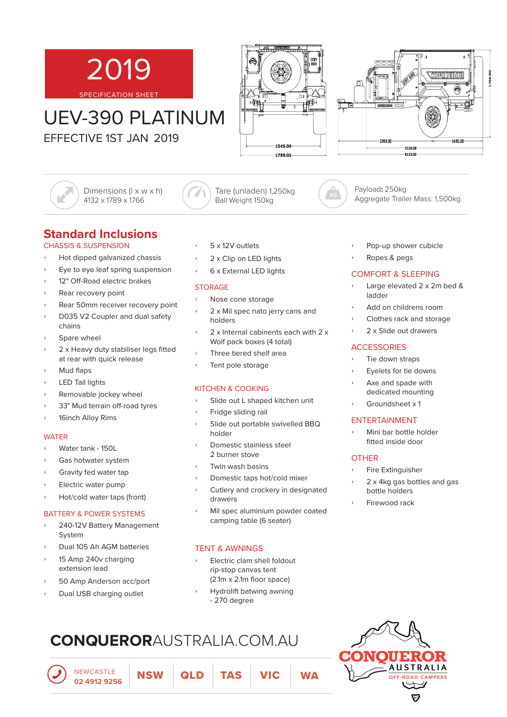

# UEV-390 PLATINUM

EFFECTIVE 1ST JAN 2019

Dimensions (l x w x h) 4132 x 1789 x 1766





Payload**:** 250kg Aggregate Trailer Mass: 1,500kg

# **Standard Inclusions**

### CHASSIS & SUSPENSION

- ʟ Hot dipped galvanized chassis
- ʟ Eye to eye leaf spring suspension
- 12" Off-Road electric brakes
- ʟ Rear recovery point
- ʟ Rear 50mm receiver recovery point
- ʟ D035 V2 Coupler and dual safety chains
- Spare wheel
- 2 x Heavy duty stabiliser legs fitted at rear with quick release
- Mud flaps
- LED Tail lights
- ʟ Removable jockey wheel
- 33" Mud terrain off-road tyres
- 16inch Alloy Rims

#### **WATER**

- Water tank 150L
- Gas hotwater system
- Gravity fed water tap
- ʟ Electric water pump
- ʟ Hot/cold water taps (front)

#### BATTERY & POWER SYSTEMS

- ʟ 240-12V Battery Management System
- ʟ Dual 105 Ah AGM batteries
- ʟ 15 Amp 240v charging extension lead
- ʟ 50 Amp Anderson acc/port
- Dual USB charging outlet
- ʟ 5 x 12V outlets
- 2 x Clip on LED lights
- ʟ 6 x External LED lights

#### **STORAGE**

- Nose cone storage
- 2 x Mil spec nato jerry cans and holders

Tare (unladen) 1,250kg Ball Weight 150kg

- 2 x Internal cabinents each with 2 x Wolf pack boxes (4 total)
- Three tiered shelf area
- Tent pole storage

# KITCHEN & COOKING

- Slide out L shaped kitchen unit
- ʟ Fridge sliding rail
- Slide out portable swivelled BBQ holder
- ʟ Domestic stainless steel 2 burner stove
- ʟ Twin wash basins
- ʟ Domestic taps hot/cold mixer
- Cutlery and crockery in designated drawers
- ʟ Mil spec aluminium powder coated camping table (6 seater)

### TENT & AWNINGS

- ʟ Electric clam shell foldout rip-stop canvas tent  $(2.1m \times 2.1m$  floor space)
- ʟ Hydrolift batwing awning - 270 degree

# **CONQUEROR**AUSTRALIA.COM.AU



**AUSTRALIA ROAD CAMPERS**  $\overleftrightarrow{\phantom{a}}$ A

- Pop-up shower cubicle
- ʟ Ropes & pegs

### COMFORT & SLEEPING

- Large elevated 2 x 2m bed & ladder
- ʟ Add on childrens room
- ʟ Clothes rack and storage
- ʟ 2 x Slide out drawers

## **ACCESSORIES**

- ʟ Tie down straps
- ʟ Eyelets for tie downs
- Axe and spade with dedicated mounting
- Groundsheet x 1

#### ENTERTAINMENT

ʟ Mini bar bottle holder fitted inside door

## **OTHER**

- ʟ Fire Extinguisher
- ʟ 2 x 4kg gas bottles and gas bottle holders
- ʟ Firewood rack